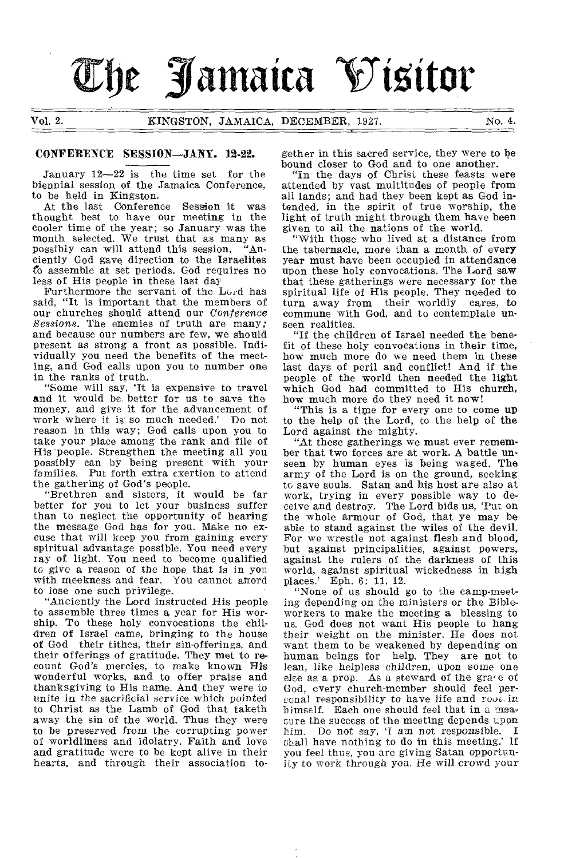# **be Jamaica Vi5itor**

Vol. 2. KINGSTON, JAMAICA, DECEMBER, 1927. No. 4.

#### CONFERENCE SESSION--JANY. 12-22.

January 12-22 is the time set for the biennial session of the Jamaica Conference, to be held in Kingston.

At the last Conference Session it was thought best to have our meeting in the cooler time of the year; so January was the month selected. We trust that as many as possibly can will attend this session. "Anpossibly can will attend this session. ciently God gave direction to the Israelites Co assemble at set periods. God requires no less of His people in these last day

Furthermore the servant of the  $\text{L}\alpha$  has said, "It is important that the members of our churches should attend our *Conference Sessions.* The enemies of truth are many; and because our numbers are few, we should present as strong a front as possible. Individually you need the benefits of the meeting, and God calls upon you to number one in the ranks of truth.

"Some will say, 'It is expensive to travel and it would be better for us to save the money, and give it for the advancement of work where it is so much needed.' Do not work where it is so much needed.' reason in this way; God calls upon you to take your place among the rank and file of His 'people. Strengthen the meeting all you possibly can by being present with your families. Put forth extra exertion to attend the gathering of God's people.

"Brethren and sisters, it would be far better for you to let your business suffer than to neglect the opportunity of hearing the message God has for you. Make no excuse that will keep you from gaining every spiritual advantage possible. You need every ray of light. You need to become qualified to give a reason of the hope that is in you with meekness and fear. You cannot anord to lose one such privilege.

"Anciently the Lord instructed His people to assemble three times a year for His worship. To these holy convocations the children of Israel came, bringing to the house of God their tithes, their sin-offerings, and their offerings of gratitude. They met to recount God's mercies, to make known His wonderful works, and to offer praise and thanksgiving to His name. And they were to unite in the sacrificial service which pointed to Christ as the Lamb of God that taketh away the sin of the world. Thus they were to be preserved from the corrupting power of worldliness and idolatry. Faith and love and gratitude were to be kept alive in their hearts, and through their association to-

gether in this sacred service, they were to be bound closer to God and to one another.

"In the days of Christ these feasts were attended by vast multitudes of people from all lands; and had they been kept as God intended, in the spirit of true worship, the light of truth might through them have been given to all the nations of the world.

"With those who lived at a distance from the tabernacle, more than a month of every year must have been occupied in attendance upon these holy convocations. The Lord saw that these gatherings were necessary for the spiritual life of His people. They needed to<br>turn away from their worldly cares, to turn away from their worldly commune with God, and to contemplate unseen realities.

"If the children of Israel needed the benefit of these holy convocations in their time, how much more do we need them in these last days of peril and conflict! And if the people of the world then needed the light which God had committed to His church, how much more do they need it now!

"This is a time for every one to come up to the help of the Lord, to the help of the Lord against the mighty.

"At these gatherings we must ever remember that two forces are at work. A battle unseen by human eyes is being waged. The army of the Lord is on the ground, seeking to save souls. Satan and his host are also at work, trying in every possible way to deceive and destroy. The Lord bids us, Tut on the whole armour of God, that ye may be able to stand against the wiles of the devil. For we wrestle not against flesh and blood, but against principalities, against powers, against the rulers of the darkness of this world, against spiritual wickedness in high places.' Eph. 6: 11, 12.

"None of us should go to the camp-meeting depending on the ministers or the Bibleworkers to make the meeting a blessing to us. God does not want His people to hang their weight on the minister. He does not want them to be weakened by depending on human beings for help. They are not to lean, like helpless children, upon some one else as a prop. As a steward of the gra $\epsilon$  of God, every church-member should feel personal responsibility to have life and *roo&,in*  himself. Each one should feel that in a meacure the success of the meeting depends Loon him. Do not say, 'I am not responsible. I chall have nothing to do in this meeting.' If you feel thus, you are giving Satan opportunity to work through you. He will crowd your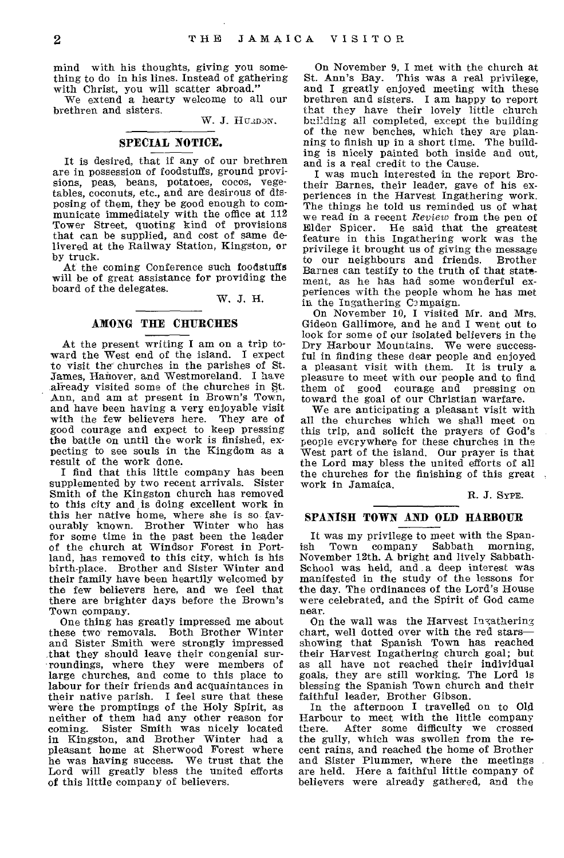mind with his thoughts, giving you something to do in his lines. Instead of gathering with Christ, you will scatter abroad."

We extend a hearty welcome to all our brethren and sisters.

W. J. HUADON.

# SPECIAL NOTICE.

It is desired, that if any of our brethren are in possession of foodstuffs, ground provisions, peas, beans, potatoes, cocos, vegetables, coconuts, etc., and are desirous of disposing of them, they be good enough to communicate immediately with the office at 112 Tower Street, quoting kind of provisions that can be supplied, and cost of same delivered at the Railway Station, Kingston, or by truck.

At the coming Conference such foodstuffs will be of great assistance for providing the board of the delegates.

W. J. H.

#### AMONG THE CHURCHES

At the present writing I am on a trip toward the West end of the island. I expect to visit the churches in the parishes of St. James, Hanover, and Westmoreland. I have already visited some of the churches in St. Ann, and am at present in Brown's Town, and have been having a very enjoyable visit with the few believers here. They are of good courage and expect to keep pressing the battle on until the work is finished, expecting to see souls in the Kingdom as a result of the work done.

I find that this little company has been supplemented by two recent arrivals. Sister Smith of the Kingston church has removed to this city and is doing excellent work in this her native home, where she is so- favourably known. Brother Winter who has for some time in the past been the leader of the church at Windsor Forest in Portland, has removed to this city, which is his birth-place. Brother and Sister Winter and their family have been heartily welcomed by the few believers here, and we feel that there are brighter days before the Brown's Town company.

One thing has greatly impressed me about these two removals. Both Brother Winter and Sister Smith were strongly impressed that they should leave their congenial surroundings, where they were members of large churches, and come to this place to labour for their friends and acquaintances in their native parish. I feel sure that these were the promptings of the Holy Spirit, as neither of them had any other reason for Sister Smith was nicely located in Kingston, and Brother Winter had a pleasant home at Sherwood Forest where he was having success. We trust that the Lord will greatly bless the united efforts of this little company of believers.

On November 9, I met with the church at St. Ann's Bay. This was a real privilege, and I greatly enjoyed meeting with these brethren and sisters. I am happy to report that they have their lovely little church building all completed, except the building of the new benches, which they are plan-ning to finish up in a short time. The building is nicely painted both inside and out, and is a real credit to the Cause.

I was much interested in the report Brotheir Barnes, their leader, gave of his experiences in the Harvest Ingathering work. The things he told us reminded us of what we read in a recent *Review* from the pen of Elder Spicer. He said that the greatest feature in this Ingathering work was the privilege it brought us of giving the message to our neighbours and friends. Brother Barnes can testify to the truth of that statement, as he has had some wonderful experiences with the people whom he has met in the Ingathering C2mpaign.

On November 10, I visited Mr. and Mrs. Gideon Gallimore, and he and I went out to look for some of our isolated believers in the Dry Harbour Mountains. We were successful in finding these dear people and enjoyed a pleasant visit with them. It is truly a pleasure to meet with our people and to find them of good courage and pressing on toward the goal of our Christian warfare.

We are anticipating a pleasant visit with all the churches which we shall meet on this trip, and solicit the prayers of God's people everywhere for these churches in the West part of the island. Our prayer is that the Lord may bless the united efforts of all the churches for the finishing of this great work in Jamaica.

R. J. SYPE.

# SPANISH TOWN AND OLD HARBOUR

It was my privilege to meet with the Spanish Town company Sabbath morning, November 12th. A bright and lively Sabbath-School was held, and a deep interest was manifested in the study of the lessons for the day. The ordinances of the Lord's House were celebrated, and the Spirit of God came near.

On the wall was the Harvest Ingathering chart, well dotted over with the red stars showing that Spanish Town has reached their Harvest Ingathering church goal; but as all have not reached their individual goals, they are still working. The Lord is blessing the Spanish Town church and their faithful leader, Brother Gibson.

In the afternoon I travelled on to Old Harbour to meet with the little company After some difficulty we crossed the gully, which was swollen from the recent rains, and reached the home of Brother and Sister Plummer, where the meetings are held. Here a faithful little company of believers were already gathered, and the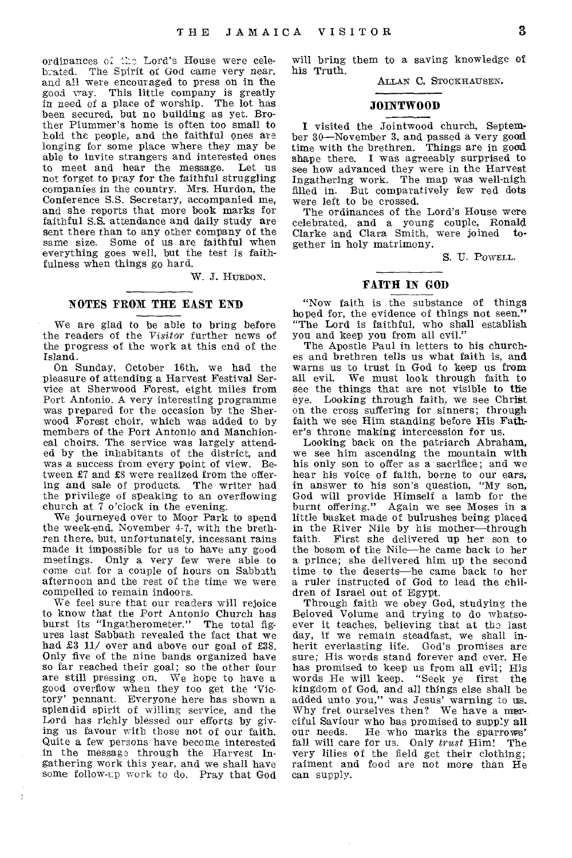ordinances of the Lord's House were celebrated. The Spirit of God came very near, and all were encouraged to press on in the good way. This little company is greatly This little company is greatly in need of a place of worship. The lot has been secured, but no building as yet. Brother Plummer's home is often too small to hold the people, and the faithful ones are longing for some place where they may be able to invite strangers and interested ones<br>to meet and hear the message. Let us to meet and hear the message. not forget to pray for the faithful struggling companies in the country. Mrs. Hurdon, the Conference S.S. Secretary, accompanied me, and she reports that more book marks for faithful S.S. attendance and daily study are sent there than to any other company of the same size. Some of us are faithful when everything goes well, but the test is faithfulness when things go hard.

W. J. HURDON.

# NOTES FROM THE EAST END

We are glad to be able to bring before the readers of the *Visitor* further news of the progress of the work at this end of the Island.

On Sunday, October 16th, we had the pleasure of attending a Harvest Festival Service at Sherwood Forest, eight miles from Port Antonio. A very interesting programme was prepared for the occasion by the Sherwood Forest choir, which was added to by members of the Port Antonio and Manchioneal choirs. The service was largely attended by the inhabitants of the district, and was a success from every point of view. Between £7 and £8 were realized from the offering and sale of products. The writer had the privilege of speaking to an overflowing church at  $\overline{7}$  o'clock in the evening.

We journeyed over to Moor Park to spend the week-end, November 4-7, with the brethren there, but, unfortunately, incessant rains made it impossible for us to have any good meetings. Only a very few were able to come out for a couple of hours on Sabbath afternoon and the rest of the time we were compelled to remain indoors.

We feel sure that our readers will rejoice to know that the Port Antonio Church has burst its "Ingatherometer." The total figures last Sabbath revealed the fact that we had £3 11/ over and above our goal of £38. Only five of the nine bands organized have so far reached their goal; so the other four are still pressing on. We hope to have a good overflow when they too get the 'Victory' pennant. Everyone here has shown a splendid spirit of willing service, and the Lord has richly blessed our efforts by giving us favour with those not of our faith. Quite a few persons have become interested in the message through the Harvest Ingathering work this year, and we shall have some follow-up work to do. Pray that God

 $\mathbf{y}$ 

will bring them to a saving knowledge of his Truth.

ALLAN C. STOCKHAUSEN.

#### JOINTWOOD

I visited the Jointwood church, September 30—November 3, and passed a very good time with the brethren. Things are in goad shape there. I was agreeably surprised to see how advanced they were in the Harvest Ingathering work. The map was well-nigh filled in. But comparatively few red dots were left to be crossed.

The ordinances of the Lord's House were celebrated, and a young couple, Ronald Clarke and Clara Smith, were joined together in holy matrimony.

S. U. POWELL.

#### FAITH IN GOD

"Now faith is the substance of things hoped for, the evidence of things not seen." "The Lord is faithful, who shall establish you and keep you from all evil."

The Apostle Paul in letters to his churches and brethren tells us what faith is, and warns us to trust in God to keep us from all evil. We must look through faith to see the things that are not visible to the eye. Looking through faith, we see Christ on the cross suffering for sinners; through faith we see Him standing before His Father's throne making intercession for us.

Looking back on the patriarch Abraham, we see him ascending the mountain with his only son to offer as a sacrifice; and we hear his voice of faith, borne to our ears, in answer to his son's question, "My son, God will provide Himself a lamb for the burnt offering." Again we see Moses in a little basket made of bulrushes being placed in the River Nile by his mother—through faith. First she delivered up her son to the bosom of the Nile—he came back to her a prince; she delivered him up the second time to the deserts—he came back to her a ruler instructed of God to lead the children of Israel out of Egypt.

Through faith we obey God, studying the Beloved Volume and trying to do whatsoever it teaches, believing that at tho last day, if we remain steadfast, we shall inherit everlasting life. God's promises are sure; His words stand forever and ever. He has promised to keep us from all evil; His words He will keep. "Seek ye first the "Seek ye first the kingdom of God, and all things else shall be added unto you," was Jesus' warning to us. Why fret ourselves then? We have a merciful Saviour who has promised to supply all He who marks the sparrows' fall will care for us. Only *trust* Him! The very lilies of the field get their clothing; raiment and food are not more than He can supply.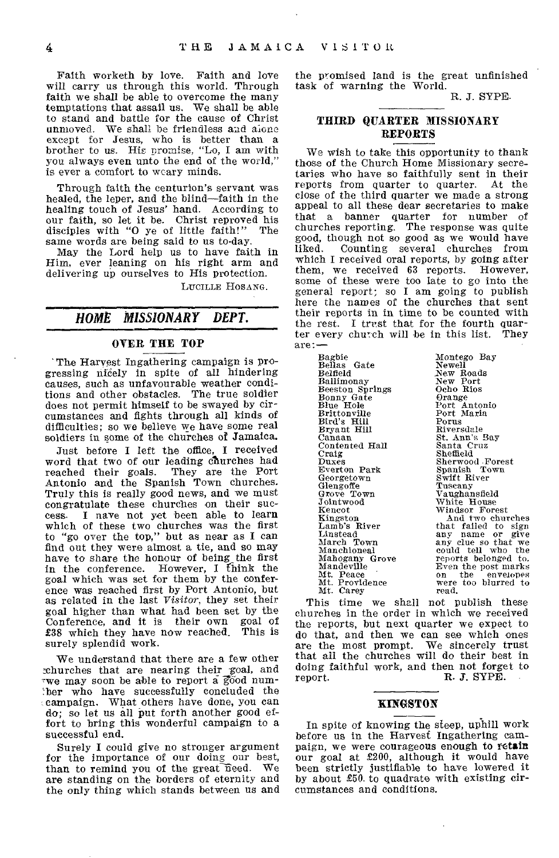Faith worketh by love. Faith and love will carry us through this world. Through faith we shall be able to overcome the many temptations that assail us. We shall be able to stand and battle for the cause of Christ unmoved. We shall be friendless and alone except for Jesus, who is better than a brother to us. His promise, "Lo, I am with you always even unto the end of the world," is ever a comfort to weary minds.

Through faith the centurion's servant was healed, the leper, and the blind—faith in the healing touch of Jesus' hand. According to our faith, so let it be. Christ reproved his disciples with "O ye of little faith!" The disciples with "O ye of little faith!" same words are being said to us to-day.

May the Lord help us to have faith in Him, ever leaning on his right arm and delivering up ourselves to His protection.

LUCILLE HOSANG.

# *HOME MISSIONARY DEPT.*

# OVER THE TOP

The Harvest Ingathering campaign is progressing nidely in spite of all hindering causes, such as unfavourable weather conditions and other obstacles. The true soldier does not permit himself to be swayed by circumstances and fights through all kinds of difficulties; so we believe we have some real soldiers in some of the churches of Jamaica.

Just before I left the office, I received word that two of our leading churches had reached their goals. They are the Port Antonio and the Spanish Town churches. Truly this is really good news, and we must congratulate these churches on their suc-<br>cess. I nave not yet been able to learn I nave not yet been able to learn which of these two churches was the first to "go over the top," but as near as I can find out they were almost a tie, and so may have to share the honour of being the first in the conference. However, I Think the goal which was set for them by the conference was reached first by Port Antonio, but as related in the last *Visitor,* they set their goal higher than what had been set by the Conference, and it is their own goal of £38 which they have now reached. This is surely splendid work.

We understand that there are a few other churches that are nearing their 'goal, and  $\tau$  we may soon be able to report a good numlier who have successfully concluded the campaign. What others have done, you can do; so let us all put forth another good effort to bring this wonderful campaign to a successful end.

Surely I could give no stronger argument for the importance of our doing our best, than to remind you of the great need. We are standing on the borders of eternity and the only thing which stands between us and

the promised land is the great unfinished task of warning the World.

R. J. SYPE

# THIRD QUARTER MISSIONARY REPORTS

We wish to take this opportunity to thank those of the Church Home Missionary secretaries who have so faithfully sent in their<br>reports from quarter to quarter. At the reports from quarter to quarter. close of the third quarter we made a strong appeal to all these dear secretaries to make that a banner quarter for number of churches reporting. The response was quite good, though not so good as we would have liked. Counting several churches from which I received oral reports, by going after<br>them, we received 63 reports. However. them, we received 63 reports. Some of these were too late to go into the general report; so I am going to publish here the names of the churches that sent their reports in in time to be counted with the rest. I trust that for the fourth quarter every church will be in this list. They are:—

Bagbie Montego Bay Hellas Gate Newell Belfield New Roads Ballimona<br>Bellias Gate Mewell<br>Bellield New Port<br>Beeston Springs Ocho Rios Beeston Springs Ocho Rios Bonny Gate Orange Blue Hole Port Antonio Brittonville Port Maria Bird's Hill Porus Bryant Hill<br>Canaan Contented Hall<br>Craig Craig Sheffield Duxes Sherwood Forest Everton Park Spanish Town Georgetown Swift River Glengoffe<br>Grove Town<br>Jointwood Joint-wood White House Mt. Carey read.

St. Ann's Bay<br>Santa Cruz Vaughansfield Kencot Windsor Forest Kingston And two churches Lamb's River that failed to sign<br>Linnstead any name or give<br>March Town any clue so that we<br>Manchioneal could tell who the<br>Mahogany Grove reports belonged to. Mahogany Grove reports belonged to.<br>Mandeville Even the post marks<br>Mt. Peace on the envelopes<br>Mt. Providence were too blurred to Mt. Peace on the envelopes Mt. Providence were too blurred to

This time we shall not publish these churches in the order in which we received the reports, but next quarter we expect to do that, and then we can see which ones are the most prompt. We sincerely trust that all the churches will do their best in doing faithful work, and then not forget to report.  $R. J. SYPE.$ R. J. SYPE.

#### KINGSTON

In spite of knowing the steep, uphill work before us in the Harvest Ingathering campaign, we were courageous enough to retain our goal at £200, although it would have been strictly justifiable to have lowered it by about £50. to quadrate with existing circumstances and conditions.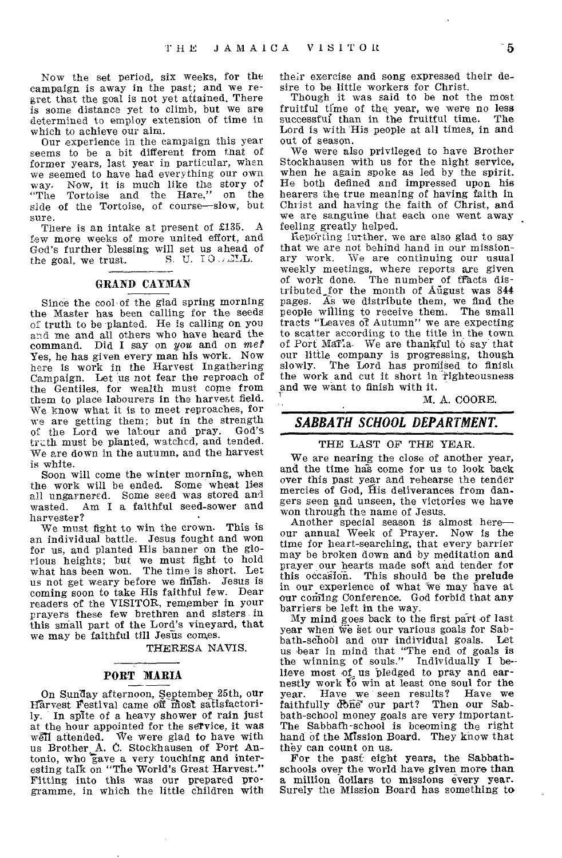Now the set period, six weeks, for the campaign is away in the past; and we regret that the goal is not yet attained. There is some distance yet to climb, but we are determined to employ extension of time in which to achieve our aim.

Our experience in the campaign this year seems to be a bit different from that of former years, last year in particular, when we seemed to have had everything our own way. Now, it is much like the story of "The Tortoise and the Hare," on the side of the Tortoise, of course—slow, but sure.

There is an intake at present of £135. A Lew more weeks of more united effort, and God's further blessing will set us ahead of the goal, we trust.  $S$ , U. IO the goal, we trust.

### GRAND CAYMAN

Since the cool of the glad spring morning the Master has been calling for the seeds of truth to be planted. He is calling on you and me and all others who have heard the command. Did I say on you and on *me?*  Yes, he has given every man his work, Now here is work in the Harvest Ingathering Campaign. Let us not fear the reproach of the Gentiles, for wealth must come from them to place labourers in the harvest field. We know what it is to meet reproaches, for we are getting them; but in the strength<br>of the Lord we labour and pray. God's of the Lord we latour and pray. truth must be planted, watched, and tended. We are down in the autumn, and the harvest is white.

Soon will come the winter morning, when the work will be ended. Some wheat lies all ungarnercd. Some seed was stored and wasted. Am I a faithful seed-sower and harvester?

We must fight to win the crown. This is an individual battle. Jesus fought and won for us, and planted His banner on the glorious heights; but we must fight to hold what has been won. The time is short. Let us not get weary before we finish. Jesus is coming soon to take His faithful few. Dear readers of the VISITOR, remember in your prayers these few brethren and sisters in this small part of the Lord's vineyard, that we may be faithful till Jesus comes.

#### THERESA NAVIS.

#### PORT MARIA

On Sunday afternoon, September 25th, our Harvest Festival came off most satisfactorily. In spite of a heavy shower of rain just at the hour appointed for the service, it was well attended. We were glad to have with us Brother, A. C. Stockhausen of Port Antonio, who "gave a very touching and interesting talk on "The World's Great Harvest." Fitting into this was our prepared programme, in which the little children with

their exercise and song expressed their desire to be little workers for Christ.

Though it was said to be not the most fruitful time of the, year, we were no less successful than in the fruitful time. The Lord is with His people at all times, in and out of season.

We were also privileged to have Brother Stockhausen with us for the night service, when he again spoke as led by the spirit. He both defined and impressed upon his hearers the true meaning of having faith in Christ and having the faith of Christ, and we are sanguine that each one went away feeling greatly helped.

Reporting further, we are also glad to say that we are not behind hand in our missionary work. We are continuing our usual weekly meetings, where reports are given of work done. The number of tracts distributed for the month of August was 844 pages. As we distribute them, we find the people willing to receive them. The small people willing to receive them. tracts "Leaves of Autumn" we are expecting to scatter according to the title in the town of Port Maï<sup>1</sup>a. We are thankful to say that our little company is progressing, though slowly. The Lord has promised to finish the work and cut it short in righteousness and we want to finish with it.

#### M. A. COORE.

# *SABBATH SCHOOL DEPARTMENT.*

#### THE LAST OF THE YEAR.

We are nearing the close of another year, and the time has come for us to look back over this past year and rehearse the tender mercies of God, His deliverances from dangers seen and unseen, the victories we have won through the name of Jesus.

Another special season is almost here our annual Week of Prayer. Now is the time for heart-searching, that every barrier may be broken down and by meditation and prayer our hearts made soft and tender for this occasion. This should be the prelude in our experience of what we may have at our coming Conference. God forbid that any barriers be left in the way.

My mind goes back to the first part of last year when \*'e set our various goals for Sab-bath-sdhoOl and our individual goals. Let us bear in mind that "The end of goals is the winning of souls." Individually I believe most of us pledged to pray and earnestly work to win at least one soul for the<br>year. Have we seen results? Have we Have we seen results? faithfully cone our part? Then our Sabbath-school money goals are very important. The Sabbath-school is bceoming the right hand of the Mission Board. They know that they can count on us.

For the past eight years, the Sabbathschools over the world have given more than a million dollars to missions every year. Surely the Mission Board has something to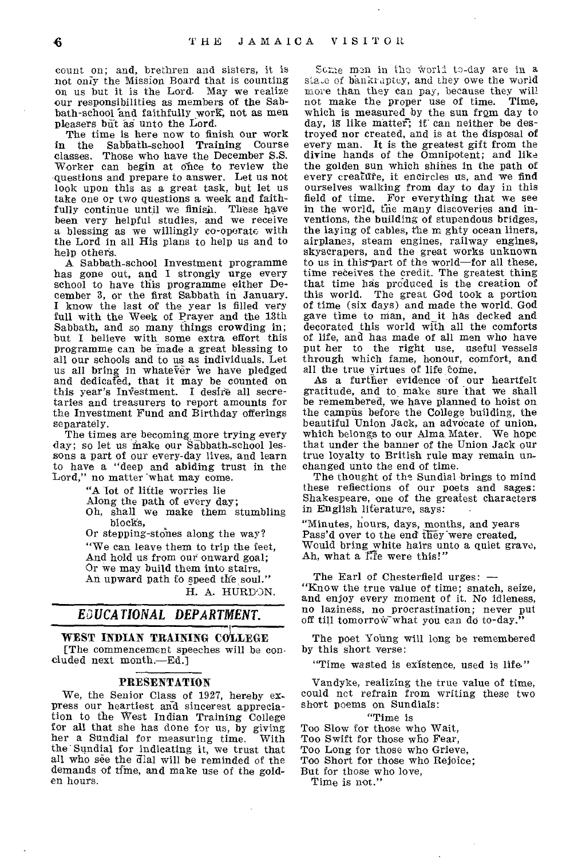count on; and, brethren and sisters, it is not only the Mission Board that is counting on us but it is the Lord- May we realize cur responsibilities as members of the Sabbath-school and faithfully work, not as men pleasers but as unto the Lord.

The time is here now to finish our work in the Sabbath-school Training Course classes. Those who have the December S.S. Worker can begin at once to review the questions and prepare to answer. Let us not look upon this as a great task, but let us take one or two questions a week and faithfully continue until we finish. These have been very helpful studies, and we receive a blessing as we willingly co-operate with the Lord in all His plans to help us and to help others.

A Sabbath-school Investment programme has gone out, and I strongly urge every school to have this programme either December 3, or the first Sabbath in January. I know the last of the year is filled very full with the Week of Prayer and the 13th Sabbath, and so many things crowding in; but I believe with some extra effort this programme can be made a great blessing to all our schools and to us as individuals. Let us all bring in whatever we have pledged and dedicated, that it may be counted on this year's InVestment. I desire all secretaries and treasurers to report amounts for the Investment Fund and Birthday offerings separately.

The times are becoming\_more trying every day; so let us make our Sabbath-school lessons a part of our every-day lives, and learn to have a "deep and abiding trust in the Lord," no matter what may come.

"A lot of little worries lie

Along the path of every day;

Oh, shall we make them stumbling blocks,

Or stepping-stones along the way? "We can leave them to trip the feet, And hold us from our onward goal; Or we may build them into stairs, An upward path to speed the soul." H. A. HURDON.

# *EOUCATIONAL DEPARTMENT.*

#### WEST INDIAN TRAINING COLLEGE

[The commencement speeches will be coneluded next month.—Ed.]

#### PRESENTATION

We, the Senior Class of 1927, hereby express our heartiest and sincerest appreciation to the West Indian Training College for all that she has done for us, by giving<br>her a Sundial for measuring time. With her a Sundial for measuring time. the Sundial for indicating it, we trust that all who see the dial will be reminded of the demands of time, and make use of the golden hours.

Scrae men in the, world to-day are in a state of bankraptey, and they owe the world more than they can pay, because they will not make the proper use of time. Time, not make the proper use of time. which is measured by the sun from day to day, is like matter; it can neither be destroyed nor created, and is at the disposal of every man. It is the greatest gift from the divine hands of the Omnipotent; and like the golden sun which shines in the path of every creature, it encircles us, and we find ourselves walking from day to day in this field of time. For everything that we see in the world, the many discoveries and inventions, the building of stupendous bridges, the laying of cables, the m ghty ocean liners, airplanes, steam engines, railway engines, skyscrapers, and the great works unknown to us in this-part of the world—for all these, time receives the credit. The greatest thing that time has produced is the creation of this world. The great God took a portion of time (six days) and made the world. God gave time to man, and it has decked and decorated this world with all the comforts of life, and has made of all men who have put her to the right use, useful vessels through which fame, honour, comfort, and all the true virtues of life come.

As a further evidence of our heartfelt gratitude, and to make sure that we shall be remembered, we have planned to hoist on the campus before the College building, the beautiful Union Jack, an advocate of union, which belongs to our Alma Mater. We hope that under the banner of the Union Jack our true loyalty to British rule may remain unchanged unto the end of time.

The thought of the Sundial brings to mind these reflections of our poets and sages:<br>Shakespeare, one of the greatest characters in English literature, says:

"Minutes, hours, days, months, and years Pass'd over to the end they were created. Would bring white hairs unto a quiet grave, Ah, what a fife were this!"

The Earl of Chesterfield urges: — "Know the true value of time; snatch, seize, and enjoy every moment of it. No idleness, no laziness, no procrastination; never put off till tomorrow-what you can do to-day."

The poet Young will long be remembered by this short verse:

"Time wasted is existence, used is life."

Vandyke, realizing the true value of time, could net refrain from writing these two short poems on Sundials:

# "Time is

Too Slow for those who Wait,

Too Swift for those who Fear,

Too Long for those who Grieve,

Too Short for those who Rejoice;

But for those who love,

Time is not."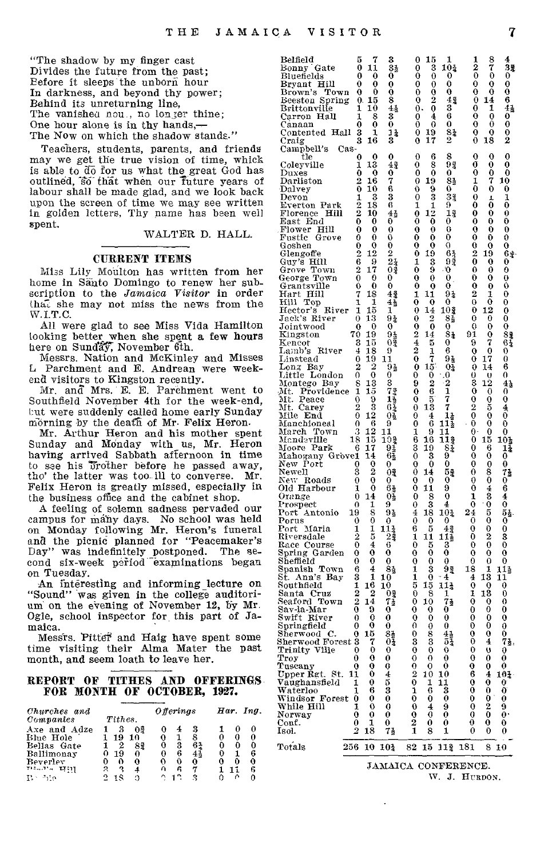"The shadow by my finger cast Divides the future from the past; Before it sleeps the unborn hour In darkness, and beyond thy power; Behind its unreturning line, The vanished nou., no longer thine: One hour alone is in thy hands,— The Now on which the shadow stands."

Teachers, students, parents, and friends may we get the true vision of time, which is able to do for us what the great God has outlined. So that when our future years of labour shall be made glad, and we look back upon the screen of time we may see written in golden letters, Thy name has been well spent.

WALTER D. HALL.

#### CURRENT ITEMS

Miss Lily Moulton has written from her home in Santo Domingo to renew her subscription to the *Jamaica Visitor* in order tha7. she may not miss the news from the W.I.T.C.

All were glad to see Miss Vida Hamilton looking better when she spent a few hours here on Sunday, November 6th.

Messrs. Nation and McKinley and Misses L Parchment and E. Andrean were weekend visitors to Kingston recently.

Mr. and Mrs. E. E. Parchment went to Southfield November 4th for the week-end, hut were suddenly called home early Sunday morning by the death of Mr. Felix Heron.

Mr. Arthur Heron and his mother spent Sunday and Monday with us, Mr. Heron having arrived Sabbath afternoon in time to see his trother before he passed away, tho' the latter was too- ill to converse. Mr. Felix Heron is greatly missed, especially in the business office and the cabinet shop.

A feeling of solemn sadness pervaded our campus for many days. No school was held on Monday following Mr. Heron's funeral and the picnic planned for "Peacemaker's Day" was indefinitely \_postponed. The second six-week period examinations began on Tuesday.

An interesting and informing lecture on "Sound" was given in the college auditorium on the evening of November 12, by Mr. Ogle, school inspector for this part of Jamaica.

Messrs. Pitter and Haig have spent some time visiting their Alma Mater the past month, and seem loath to leave her.

#### REPORT OF TITHES AND OFFERINGS FOR MONTH OF OCTOBER, 1927.

| Churches and<br><b>Companies</b>                                                                               | Tithes.                                                                            | <i>Offerings</i>                                                                                   | Har. Ing.                                            |  |
|----------------------------------------------------------------------------------------------------------------|------------------------------------------------------------------------------------|----------------------------------------------------------------------------------------------------|------------------------------------------------------|--|
| Axe and Adze<br><b>Elue Hole</b><br>Bellas Gate<br>Ballimonay<br>Beverley<br>THE LITTLE<br>TI 11<br>منبت<br>T. | 3<br>08<br>19<br>10<br>82<br>2<br>19<br>0<br>Ω<br>0<br>0<br>2<br>٩<br>4<br>18<br>О | 3<br>u<br>8<br>0<br>3<br>61<br>0<br>6<br>0<br>$4\,$<br>0<br>∩<br>0<br>7<br>R<br>$\Omega$<br>≏<br>я | 0<br>0<br>0<br>0<br>0<br>в<br>0<br>0<br>11<br>В<br>∩ |  |

| Belfield<br>Bonny<br>Gate<br>Bluefields<br>Bryant<br>Hill<br>Brown's<br>Town<br>Beeston Spring<br>Brittonville<br>Hall<br>Carron<br>anaan<br>Contented<br>Craig<br>Campbell's<br>$_{\rm Hall}$<br>Cas-                                                                                                                                                                                                                                                                                                                                                                                                                                                                                                                                                                                                                                                                                                                                                                                                                                                                                                                                                                                                         | 5<br>7<br>0<br>11<br>0<br>0<br>0<br>0<br>0<br>0<br>15<br>0.<br>1<br>10<br>8<br>1<br>0<br>0<br>1<br>3<br>3<br>16                                                                                                                                                                                                                                                                                                                                                                                                                                                                                                                                                                                                                                                                                                                                                                                                                                                                                                              | 3<br>31<br>0<br>0<br>$\overline{0}$<br>8<br>$\frac{1}{2}$<br>3<br>0<br>11<br>3                                                                                                                                                                                                                                                                                                                                                                                                                           | 15<br>1<br>0<br>3<br>101<br>0<br>$\mathbf 0$<br>0<br>0<br>0<br>$\mathbf 0$<br>0<br>$_2^0$<br>$\mathbf 0$<br>0<br>0<br>42<br>$\frac{0}{4}$<br>3<br>0.<br>$\tilde{6}$<br>0<br>0<br>0<br>0<br>0<br>19<br>81<br>17<br>2<br>0                                                                                                                                                                                                                                                                                                                                                                                                                                                                                                                                                                                                                                                                                                                                                                                                                                                                                                                                                                                                                                                                                                                                                                                                                                                                                                                                                                                                      | $^8_7$<br>4<br>1<br>Ŝ₹<br>2<br>0<br>0<br>0<br>0<br>0<br>0<br>0<br>0<br>0<br>Ò<br>6<br>14<br>41<br>1<br>Ô<br>$\begin{smallmatrix} 0 \ 0 \end{smallmatrix}$<br>0<br>Q<br>0<br>0<br>$\bf{0}$<br>$\bm{0}$<br>$\overset{0}{2}$<br>0<br>18                                                                                                                                                                                                                                                                                                                                                                                                                                                                                                                                                                                                                                                                                                                                                                                                                                                                                                                                                                                                                                                                                                                                                                                                                                                                                                                                                                            |  |  |  |  |  |
|----------------------------------------------------------------------------------------------------------------------------------------------------------------------------------------------------------------------------------------------------------------------------------------------------------------------------------------------------------------------------------------------------------------------------------------------------------------------------------------------------------------------------------------------------------------------------------------------------------------------------------------------------------------------------------------------------------------------------------------------------------------------------------------------------------------------------------------------------------------------------------------------------------------------------------------------------------------------------------------------------------------------------------------------------------------------------------------------------------------------------------------------------------------------------------------------------------------|------------------------------------------------------------------------------------------------------------------------------------------------------------------------------------------------------------------------------------------------------------------------------------------------------------------------------------------------------------------------------------------------------------------------------------------------------------------------------------------------------------------------------------------------------------------------------------------------------------------------------------------------------------------------------------------------------------------------------------------------------------------------------------------------------------------------------------------------------------------------------------------------------------------------------------------------------------------------------------------------------------------------------|----------------------------------------------------------------------------------------------------------------------------------------------------------------------------------------------------------------------------------------------------------------------------------------------------------------------------------------------------------------------------------------------------------------------------------------------------------------------------------------------------------|-------------------------------------------------------------------------------------------------------------------------------------------------------------------------------------------------------------------------------------------------------------------------------------------------------------------------------------------------------------------------------------------------------------------------------------------------------------------------------------------------------------------------------------------------------------------------------------------------------------------------------------------------------------------------------------------------------------------------------------------------------------------------------------------------------------------------------------------------------------------------------------------------------------------------------------------------------------------------------------------------------------------------------------------------------------------------------------------------------------------------------------------------------------------------------------------------------------------------------------------------------------------------------------------------------------------------------------------------------------------------------------------------------------------------------------------------------------------------------------------------------------------------------------------------------------------------------------------------------------------------------|-----------------------------------------------------------------------------------------------------------------------------------------------------------------------------------------------------------------------------------------------------------------------------------------------------------------------------------------------------------------------------------------------------------------------------------------------------------------------------------------------------------------------------------------------------------------------------------------------------------------------------------------------------------------------------------------------------------------------------------------------------------------------------------------------------------------------------------------------------------------------------------------------------------------------------------------------------------------------------------------------------------------------------------------------------------------------------------------------------------------------------------------------------------------------------------------------------------------------------------------------------------------------------------------------------------------------------------------------------------------------------------------------------------------------------------------------------------------------------------------------------------------------------------------------------------------------------------------------------------------|--|--|--|--|--|
| tle<br>Coleyville<br>$_{\rm Duxes}$<br>Darliston<br>Dalvey<br>$_{\rm Devon}$<br>Everton Park<br>Florence<br>нш<br>$_{\rm East}$<br>$_{\rm End}$<br>Flower<br>Hill<br>Fustic<br>Grove<br>Goshen<br>Glengoffe<br>Guy's<br>Hill<br>Grove Town<br>George Town<br>Grantsville<br>Hart<br>Hill<br>Hill<br>$_{\rm{Top}}$<br>Hector's<br>River<br>Jack's River<br>Jointwood<br>Kingston<br>Kencot<br>Lamb's<br>River<br>Linstead<br>$_{\rm Lith}^{\rm{Conz}}$<br>Bay<br>London<br>Montego<br>Bay<br>Providence<br>Mt.<br>Peace<br>Carey<br>End<br>Mt.<br>Mt.<br>Mile<br>Manchioneal<br>$_{\mathrm{Tom}}$<br>March<br>Mandeville<br>Moore<br>Park<br>Mahogany Grovel<br>New<br>Port<br>Newell<br>New<br>Roads<br>Old Harbour<br>Orange<br>${\bf Proset}$<br>$_{\rm Port}$<br>Antonio<br>Porus<br>Port<br>Maria<br>Riversdale<br>Race Course<br>Spring<br>Garden<br>Sheffield<br>Spanish<br>St. Ann's<br>Southfield<br>Town<br>Bay<br>Santa<br>Cruz<br>Seaford<br>Town<br>Sav-la-Mar<br>Swift Rive<br>Springfield<br>River<br>$_{\rm S\hat{h}erwood}$<br>c.<br>Sherwood Forest<br>Trinity Ville<br>$_{\rm{Troy}}$<br>Tuscany<br>Upper Rgt.<br>St.<br>Vaughansfield<br>Waterloo<br>Windsor Forest<br>While Hill<br>Norway | 0<br>0<br>18<br>1<br>$\mathbf 0$<br>$\bf{0}$<br>16<br>$\overline{2}$<br>$\mathbf 0$<br>10<br>3<br>1<br>$\frac{2}{2}$<br>18<br>10<br>$\mathbf 0$<br>0<br>Ò<br>0<br>0<br>0<br>0<br>$\frac{0}{2}$ 6<br>$\frac{12}{9}$<br>$\mathbf 2$<br>0<br>0<br>0<br>0<br>7<br>18<br>1<br>1<br>15<br>1<br>$\tilde{1}\tilde{3}$<br>0<br>0<br>0<br>19<br>70<br>$15\,$<br>3<br>4<br>18<br>19<br>0<br>2<br>2<br>$\theta$<br>$\begin{array}{c} \bar{\mathbf{0}} \ \mathbf{13} \ \mathbf{15} \end{array}$<br>$\frac{8}{1}$<br>$\frac{9}{3}$<br>0<br>$\overline{2}$<br>$12 \,$<br>0<br>6<br>0<br>12<br>3<br>$\begin{smallmatrix} 1\bar{8}\ 6 \end{smallmatrix}$<br>$\frac{15}{17}$<br>14<br>0<br>0<br>2<br>3<br>0<br>0<br>0<br>1<br>14<br>0<br>1<br>0<br>$\bar{\bar{\textbf{8}}}$<br>19<br>0<br>1<br>1<br>2<br>õ<br>0<br>4<br>0<br>0<br>0<br>0<br>63120<br>$\overline{4}$<br>1<br>16<br>$\overline{2}$<br>14<br>9<br>0<br>0<br>0<br>0<br>15<br>0<br>3<br>7<br>0<br>0<br>0<br>0<br>$_{0}^{0}$<br>о<br>11<br>0<br>1<br>6<br>0<br>0<br>1<br>0<br>0<br>0 | 0<br>42<br>0<br>$^7_6$<br>3<br>6<br>41<br>0<br>0<br>0<br>0<br>2<br>$\bar{2}\frac{1}{4}$<br>03<br>0<br>0<br>42<br>4 <sub>2</sub><br>1<br>94<br>0<br>$9\frac{1}{2}$<br>02<br>9<br>11<br>$9\frac{1}{2}$<br>0<br>3<br>73<br>$\frac{1}{6}$<br>Оš<br>9<br>11<br>$\frac{103}{95}$<br>61<br>0<br>01<br>0<br>$\frac{6}{3}$<br>9<br>91<br>0<br>114<br>24<br>6<br>0<br>0<br>$\begin{smallmatrix} 8\frac{1}{2} \ 10 \end{smallmatrix}$<br>10<br>03<br>71<br>0<br>0<br>0<br>83<br>0ł<br>$\pmb{0}$<br>004530<br>0<br>0 | 6<br>8<br>0<br>8<br>9ž<br>0<br>0<br>0<br>0<br>0<br>19<br>83<br>9<br>0<br>0<br>0<br>3<br>31<br>9<br>1<br>1<br>0<br>12<br>12<br>$\mathbf 0$<br>0<br>0<br>0<br>0<br>0<br>0<br>0<br>0<br>0<br>0<br>0<br>$6\frac{3}{4}$<br>19<br>0<br>1<br>$\frac{3}{9}$<br>92<br>$\mathbf 0$<br>$\bf{0}$<br>0<br>0<br>0<br>$\mathbf 0$<br>$\mathbf 0$<br>0<br>11<br>1<br>94<br>$\bar{\text{o}}$<br>$\boldsymbol{0}$<br>0<br>$10\frac{3}{4}$<br>0<br>14<br>$\overline{2}$<br>$\bf{0}$<br>8,<br>0<br>$\frac{0}{2}$ $\frac{4}{2}$ $\frac{0}{0}$<br>0<br>14<br>81<br>$\frac{5}{1}$<br>0<br>6<br>$\frac{7}{15}0 \ \frac{2}{6}$<br>94<br>ОĪ<br>$^{\mathrm{0}}_{9}$<br>$\frac{0}{2}$<br>$\frac{0}{0}$<br>7<br>$\frac{5}{13}$<br>0<br>7<br>0<br>i,<br>$\overline{\mathbf{4}}$<br>01630<br>6<br>11}<br>9<br>11<br>16<br>111<br>$8\bar{4}$<br>19<br>3<br>9<br>0<br>0<br>0<br>0<br>14<br>51<br>$\bf{0}$<br>0<br>0<br>$\bf{0}$<br>11<br>9<br>$\mathbf 0$<br>$-8.8$<br>$18.8$<br>$\bf{0}$<br>$\frac{0}{4}$<br>4<br>10월<br>$\frac{0}{6}$<br>$\pmb{0}$<br>$\begin{smallmatrix} 0 \ 4 \ \end{smallmatrix}$<br>5<br>1<br>11<br>11§<br>0<br>5<br>3<br>0<br>0<br>0<br>0<br>0<br>0<br>1115<br>$\frac{3}{15}$<br>92<br>4<br>$11\frac{1}{4}$<br>$\frac{1}{7}$<br>0<br>8<br>0<br>10<br>0<br>0<br>0<br>0<br>0<br>0<br>0<br>0<br>0<br>8<br>$4\frac{1}{2}$<br>0<br>$\begin{smallmatrix} 3\ 0 \ 0 \end{smallmatrix}$<br>3<br>ōł<br>0<br>0<br>0<br>0<br>$\begin{smallmatrix} 0 & 2 \ 2 & 0 \ 1 & 0 \end{smallmatrix}$<br>0<br>0<br>10<br>10<br>1<br>$\begin{smallmatrix} 11\ 1\ 3\ 0 \end{smallmatrix}$<br>6<br>$\mathbf 0$<br>0<br>0<br>4<br>9<br>$\boldsymbol{0}$<br>0<br>0 | 0<br>0<br>0<br>0<br>0<br>0<br>0<br>0<br>0<br>Ť<br>1<br>10<br>0<br>0<br>$\pmb{0}$<br>1<br>0<br>ı,<br>0<br>0<br>0<br>$\boldsymbol{0}$<br>0<br>0<br>$\begin{smallmatrix} &0\0&0\0&\bullet\end{smallmatrix}$<br>0<br>0<br>$\mathbf 0$<br>0<br>Ó<br>0<br>$\begin{smallmatrix} 0\ 2\ 0 \end{smallmatrix}$<br>0<br>19<br>0<br>$\mathbf 0$<br>0<br>0<br>0<br>$\mathbf 0$<br>$\bf{0}$<br>$\bf{0}$<br>$\bf{0}$<br>$\mathbf 0$<br>$\mathbf 0$<br>$\overline{2}$<br>i<br>$\begin{smallmatrix}0\0\0\end{smallmatrix}$<br>$\begin{matrix} 0 \\ 0 \end{matrix}$<br>$\begin{smallmatrix} \bar{0}\ 12 \end{smallmatrix}$<br>0<br>0<br>0<br>0<br>0<br>0<br>91<br>$\bf{0}$<br>81<br>9<br>7<br>61<br>0000000<br>0<br>0<br>17<br>0<br>14<br>6<br>0<br>$\frac{0}{12}$<br>41<br>0<br>0<br>$\frac{0}{2}$<br>$\frac{0}{0}$<br>$\boldsymbol{0}$<br>5<br>0<br>0<br>0<br>0<br>0<br>ŏ<br>0<br>0<br>0<br>15<br>10}<br>6<br>0<br>$\frac{1}{9}$<br>0<br>0<br>0<br>0<br>$\boldsymbol{0}$<br>0<br>7064054080<br>8<br>0<br>0<br>0<br>$\overline{4}$<br>3<br>1<br>$\frac{0}{5}$<br>0<br>$^{24}$<br>0<br>0<br>$\boldsymbol{0}$<br>0<br>0<br>$\mathbf 2$<br>$\bf{0}$<br>0<br>$\mathbf 0$<br>0<br>0<br>0<br>0<br>18<br>1<br>$1\bar{3}$<br>$\frac{7}{4}$<br>0<br>0<br>0<br>13<br>1<br>0<br>0<br>0<br>0<br>0<br>0<br>0<br>0<br>$\mathbf 0$<br>0<br>$\v{0}{0}$<br>0<br>0<br>0<br>0<br>0<br>4<br>71.<br>$\begin{smallmatrix}0\\0\end{smallmatrix}$<br>v<br>0<br>$\boldsymbol{0}$<br>0<br>$^{\rm o}_{\rm 6}$<br>$\bf{0}$<br>0<br>4<br>101<br>0<br>0<br>0<br>0<br>0<br>0<br>0<br>$\begin{smallmatrix}0\0\0\end{smallmatrix}$<br>0<br>$\frac{2}{0}$<br>9<br>0 |  |  |  |  |  |
| Conf.<br>Isol.                                                                                                                                                                                                                                                                                                                                                                                                                                                                                                                                                                                                                                                                                                                                                                                                                                                                                                                                                                                                                                                                                                                                                                                                 | 1<br>0<br>2<br>18                                                                                                                                                                                                                                                                                                                                                                                                                                                                                                                                                                                                                                                                                                                                                                                                                                                                                                                                                                                                            | 0<br>73                                                                                                                                                                                                                                                                                                                                                                                                                                                                                                  | 2<br>0<br>0<br>1<br>1<br>8                                                                                                                                                                                                                                                                                                                                                                                                                                                                                                                                                                                                                                                                                                                                                                                                                                                                                                                                                                                                                                                                                                                                                                                                                                                                                                                                                                                                                                                                                                                                                                                                    | 0<br>0<br>0<br>0<br>0<br>0                                                                                                                                                                                                                                                                                                                                                                                                                                                                                                                                                                                                                                                                                                                                                                                                                                                                                                                                                                                                                                                                                                                                                                                                                                                                                                                                                                                                                                                                                                                                                                                      |  |  |  |  |  |
| Totals                                                                                                                                                                                                                                                                                                                                                                                                                                                                                                                                                                                                                                                                                                                                                                                                                                                                                                                                                                                                                                                                                                                                                                                                         | 256<br>10                                                                                                                                                                                                                                                                                                                                                                                                                                                                                                                                                                                                                                                                                                                                                                                                                                                                                                                                                                                                                    | 101                                                                                                                                                                                                                                                                                                                                                                                                                                                                                                      | 82<br>15<br>11å                                                                                                                                                                                                                                                                                                                                                                                                                                                                                                                                                                                                                                                                                                                                                                                                                                                                                                                                                                                                                                                                                                                                                                                                                                                                                                                                                                                                                                                                                                                                                                                                               | 181<br>8<br>10                                                                                                                                                                                                                                                                                                                                                                                                                                                                                                                                                                                                                                                                                                                                                                                                                                                                                                                                                                                                                                                                                                                                                                                                                                                                                                                                                                                                                                                                                                                                                                                                  |  |  |  |  |  |
| JAMAICA CONFERENCE.<br>W. J. HURDON.                                                                                                                                                                                                                                                                                                                                                                                                                                                                                                                                                                                                                                                                                                                                                                                                                                                                                                                                                                                                                                                                                                                                                                           |                                                                                                                                                                                                                                                                                                                                                                                                                                                                                                                                                                                                                                                                                                                                                                                                                                                                                                                                                                                                                              |                                                                                                                                                                                                                                                                                                                                                                                                                                                                                                          |                                                                                                                                                                                                                                                                                                                                                                                                                                                                                                                                                                                                                                                                                                                                                                                                                                                                                                                                                                                                                                                                                                                                                                                                                                                                                                                                                                                                                                                                                                                                                                                                                               |                                                                                                                                                                                                                                                                                                                                                                                                                                                                                                                                                                                                                                                                                                                                                                                                                                                                                                                                                                                                                                                                                                                                                                                                                                                                                                                                                                                                                                                                                                                                                                                                                 |  |  |  |  |  |